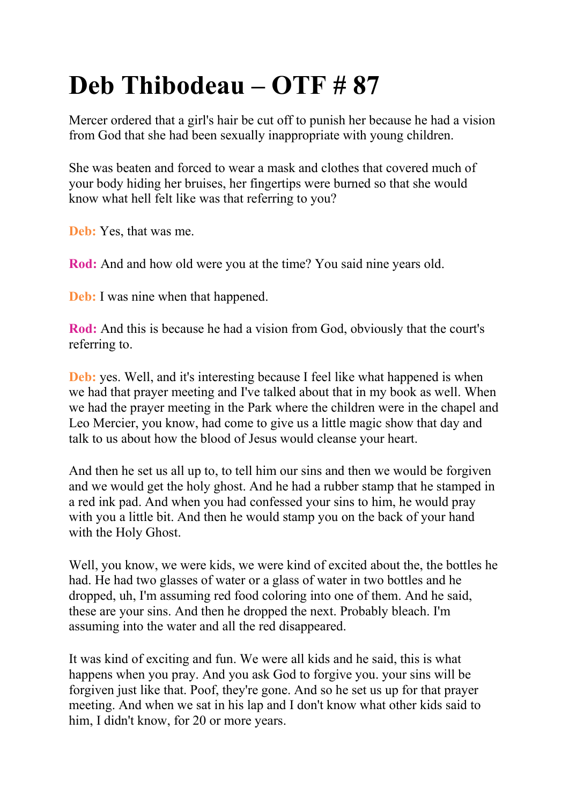## **Deb Thibodeau – OTF # 87**

Mercer ordered that a girl's hair be cut off to punish her because he had a vision from God that she had been sexually inappropriate with young children.

She was beaten and forced to wear a mask and clothes that covered much of your body hiding her bruises, her fingertips were burned so that she would know what hell felt like was that referring to you?

**Deb:** Yes, that was me.

**Rod:** And and how old were you at the time? You said nine years old.

**Deb:** I was nine when that happened.

**Rod:** And this is because he had a vision from God, obviously that the court's referring to.

**Deb:** yes. Well, and it's interesting because I feel like what happened is when we had that prayer meeting and I've talked about that in my book as well. When we had the prayer meeting in the Park where the children were in the chapel and Leo Mercier, you know, had come to give us a little magic show that day and talk to us about how the blood of Jesus would cleanse your heart.

And then he set us all up to, to tell him our sins and then we would be forgiven and we would get the holy ghost. And he had a rubber stamp that he stamped in a red ink pad. And when you had confessed your sins to him, he would pray with you a little bit. And then he would stamp you on the back of your hand with the Holy Ghost.

Well, you know, we were kids, we were kind of excited about the, the bottles he had. He had two glasses of water or a glass of water in two bottles and he dropped, uh, I'm assuming red food coloring into one of them. And he said, these are your sins. And then he dropped the next. Probably bleach. I'm assuming into the water and all the red disappeared.

It was kind of exciting and fun. We were all kids and he said, this is what happens when you pray. And you ask God to forgive you. your sins will be forgiven just like that. Poof, they're gone. And so he set us up for that prayer meeting. And when we sat in his lap and I don't know what other kids said to him, I didn't know, for 20 or more years.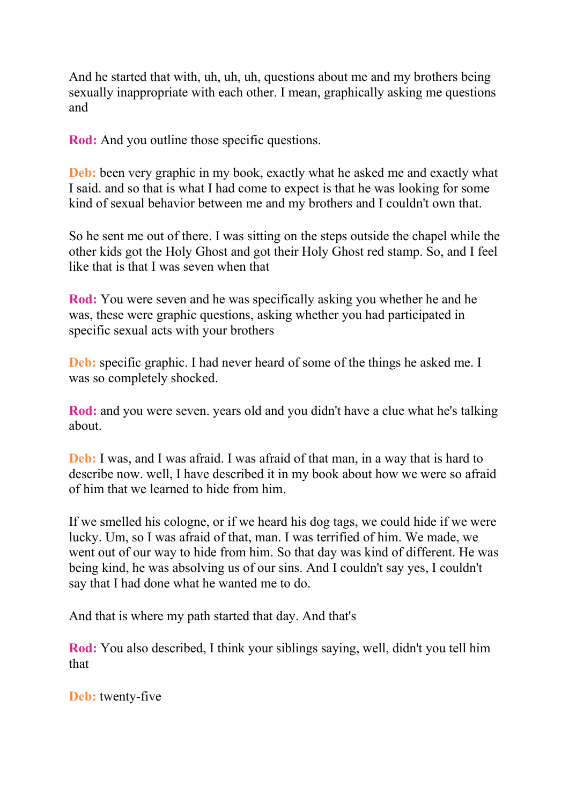And he started that with, uh, uh, uh, questions about me and my brothers being sexually inappropriate with each other. I mean, graphically asking me questions and

**Rod:** And you outline those specific questions.

**Deb:** been very graphic in my book, exactly what he asked me and exactly what I said. and so that is what I had come to expect is that he was looking for some kind of sexual behavior between me and my brothers and I couldn't own that.

So he sent me out of there. I was sitting on the steps outside the chapel while the other kids got the Holy Ghost and got their Holy Ghost red stamp. So, and I feel like that is that I was seven when that

**Rod:** You were seven and he was specifically asking you whether he and he was, these were graphic questions, asking whether you had participated in specific sexual acts with your brothers

**Deb:** specific graphic. I had never heard of some of the things he asked me. I was so completely shocked.

**Rod:** and you were seven. years old and you didn't have a clue what he's talking about.

**Deb:** I was, and I was afraid. I was afraid of that man, in a way that is hard to describe now. well, I have described it in my book about how we were so afraid of him that we learned to hide from him.

If we smelled his cologne, or if we heard his dog tags, we could hide if we were lucky. Um, so I was afraid of that, man. I was terrified of him. We made, we went out of our way to hide from him. So that day was kind of different. He was being kind, he was absolving us of our sins. And I couldn't say yes, I couldn't say that I had done what he wanted me to do.

And that is where my path started that day. And that's

**Rod:** You also described, I think your siblings saying, well, didn't you tell him that

**Deb:** twenty-five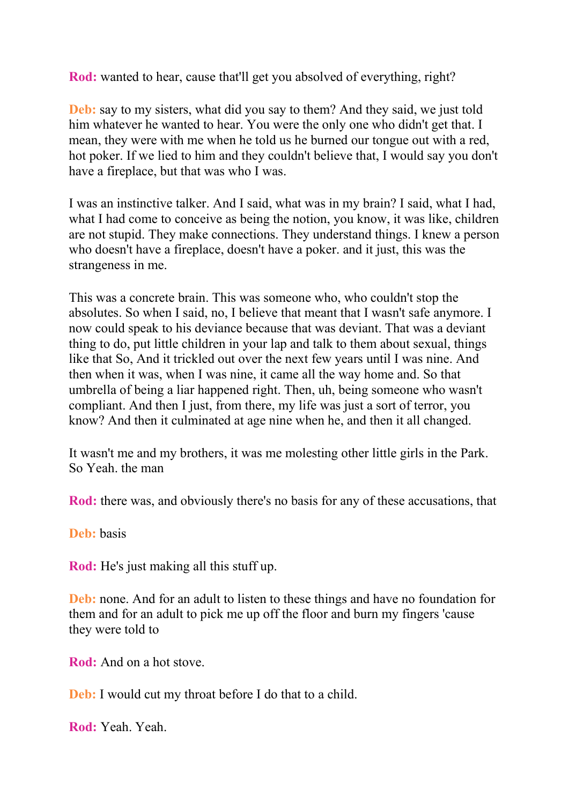**Rod:** wanted to hear, cause that'll get you absolved of everything, right?

**Deb:** say to my sisters, what did you say to them? And they said, we just told him whatever he wanted to hear. You were the only one who didn't get that. I mean, they were with me when he told us he burned our tongue out with a red, hot poker. If we lied to him and they couldn't believe that, I would say you don't have a fireplace, but that was who I was.

I was an instinctive talker. And I said, what was in my brain? I said, what I had, what I had come to conceive as being the notion, you know, it was like, children are not stupid. They make connections. They understand things. I knew a person who doesn't have a fireplace, doesn't have a poker. and it just, this was the strangeness in me.

This was a concrete brain. This was someone who, who couldn't stop the absolutes. So when I said, no, I believe that meant that I wasn't safe anymore. I now could speak to his deviance because that was deviant. That was a deviant thing to do, put little children in your lap and talk to them about sexual, things like that So, And it trickled out over the next few years until I was nine. And then when it was, when I was nine, it came all the way home and. So that umbrella of being a liar happened right. Then, uh, being someone who wasn't compliant. And then I just, from there, my life was just a sort of terror, you know? And then it culminated at age nine when he, and then it all changed.

It wasn't me and my brothers, it was me molesting other little girls in the Park. So Yeah. the man

**Rod:** there was, and obviously there's no basis for any of these accusations, that

**Deb:** basis

**Rod:** He's just making all this stuff up.

**Deb:** none. And for an adult to listen to these things and have no foundation for them and for an adult to pick me up off the floor and burn my fingers 'cause they were told to

**Rod:** And on a hot stove.

**Deb:** I would cut my throat before I do that to a child.

**Rod:** Yeah. Yeah.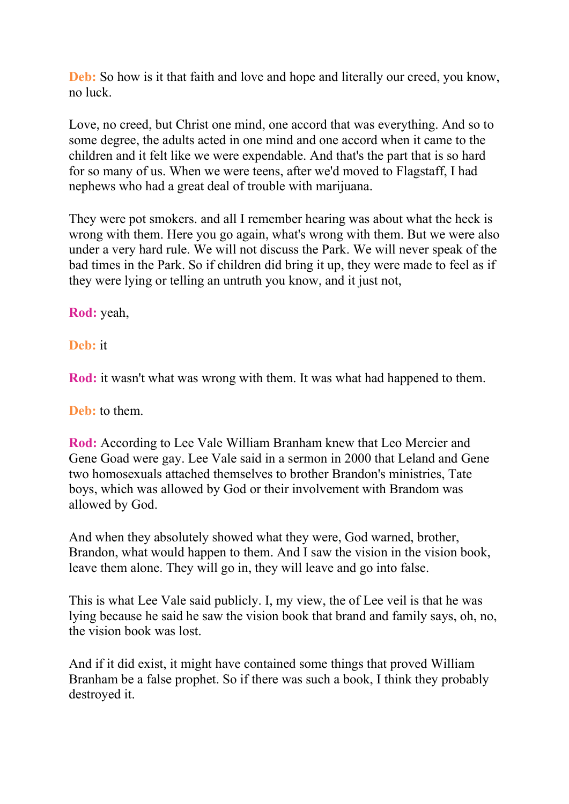**Deb:** So how is it that faith and love and hope and literally our creed, you know, no luck.

Love, no creed, but Christ one mind, one accord that was everything. And so to some degree, the adults acted in one mind and one accord when it came to the children and it felt like we were expendable. And that's the part that is so hard for so many of us. When we were teens, after we'd moved to Flagstaff, I had nephews who had a great deal of trouble with marijuana.

They were pot smokers. and all I remember hearing was about what the heck is wrong with them. Here you go again, what's wrong with them. But we were also under a very hard rule. We will not discuss the Park. We will never speak of the bad times in the Park. So if children did bring it up, they were made to feel as if they were lying or telling an untruth you know, and it just not,

**Rod:** yeah,

**Deb:** it

**Rod:** it wasn't what was wrong with them. It was what had happened to them.

**Deb:** to them.

**Rod:** According to Lee Vale William Branham knew that Leo Mercier and Gene Goad were gay. Lee Vale said in a sermon in 2000 that Leland and Gene two homosexuals attached themselves to brother Brandon's ministries, Tate boys, which was allowed by God or their involvement with Brandom was allowed by God.

And when they absolutely showed what they were, God warned, brother, Brandon, what would happen to them. And I saw the vision in the vision book, leave them alone. They will go in, they will leave and go into false.

This is what Lee Vale said publicly. I, my view, the of Lee veil is that he was lying because he said he saw the vision book that brand and family says, oh, no, the vision book was lost.

And if it did exist, it might have contained some things that proved William Branham be a false prophet. So if there was such a book, I think they probably destroyed it.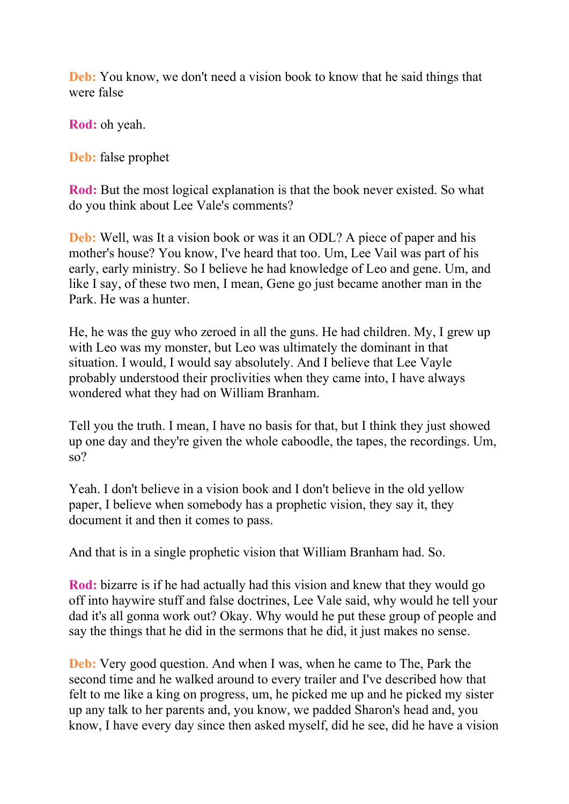**Deb:** You know, we don't need a vision book to know that he said things that were false

**Rod:** oh yeah.

**Deb:** false prophet

**Rod:** But the most logical explanation is that the book never existed. So what do you think about Lee Vale's comments?

**Deb:** Well, was It a vision book or was it an ODL? A piece of paper and his mother's house? You know, I've heard that too. Um, Lee Vail was part of his early, early ministry. So I believe he had knowledge of Leo and gene. Um, and like I say, of these two men, I mean, Gene go just became another man in the Park. He was a hunter.

He, he was the guy who zeroed in all the guns. He had children. My, I grew up with Leo was my monster, but Leo was ultimately the dominant in that situation. I would, I would say absolutely. And I believe that Lee Vayle probably understood their proclivities when they came into, I have always wondered what they had on William Branham.

Tell you the truth. I mean, I have no basis for that, but I think they just showed up one day and they're given the whole caboodle, the tapes, the recordings. Um, so?

Yeah. I don't believe in a vision book and I don't believe in the old yellow paper, I believe when somebody has a prophetic vision, they say it, they document it and then it comes to pass.

And that is in a single prophetic vision that William Branham had. So.

**Rod:** bizarre is if he had actually had this vision and knew that they would go off into haywire stuff and false doctrines, Lee Vale said, why would he tell your dad it's all gonna work out? Okay. Why would he put these group of people and say the things that he did in the sermons that he did, it just makes no sense.

**Deb:** Very good question. And when I was, when he came to The, Park the second time and he walked around to every trailer and I've described how that felt to me like a king on progress, um, he picked me up and he picked my sister up any talk to her parents and, you know, we padded Sharon's head and, you know, I have every day since then asked myself, did he see, did he have a vision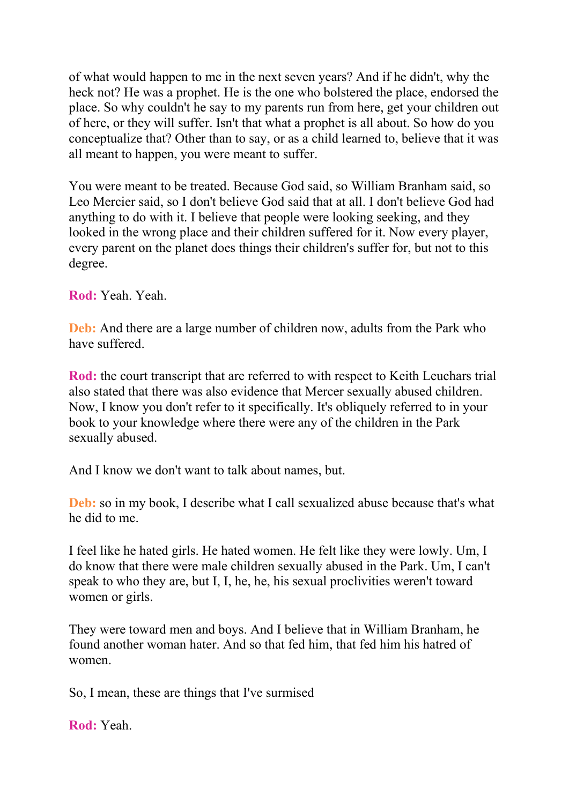of what would happen to me in the next seven years? And if he didn't, why the heck not? He was a prophet. He is the one who bolstered the place, endorsed the place. So why couldn't he say to my parents run from here, get your children out of here, or they will suffer. Isn't that what a prophet is all about. So how do you conceptualize that? Other than to say, or as a child learned to, believe that it was all meant to happen, you were meant to suffer.

You were meant to be treated. Because God said, so William Branham said, so Leo Mercier said, so I don't believe God said that at all. I don't believe God had anything to do with it. I believe that people were looking seeking, and they looked in the wrong place and their children suffered for it. Now every player, every parent on the planet does things their children's suffer for, but not to this degree.

**Rod:** Yeah. Yeah.

**Deb:** And there are a large number of children now, adults from the Park who have suffered.

**Rod:** the court transcript that are referred to with respect to Keith Leuchars trial also stated that there was also evidence that Mercer sexually abused children. Now, I know you don't refer to it specifically. It's obliquely referred to in your book to your knowledge where there were any of the children in the Park sexually abused.

And I know we don't want to talk about names, but.

**Deb:** so in my book, I describe what I call sexualized abuse because that's what he did to me.

I feel like he hated girls. He hated women. He felt like they were lowly. Um, I do know that there were male children sexually abused in the Park. Um, I can't speak to who they are, but I, I, he, he, his sexual proclivities weren't toward women or girls.

They were toward men and boys. And I believe that in William Branham, he found another woman hater. And so that fed him, that fed him his hatred of women.

So, I mean, these are things that I've surmised

**Rod:** Yeah.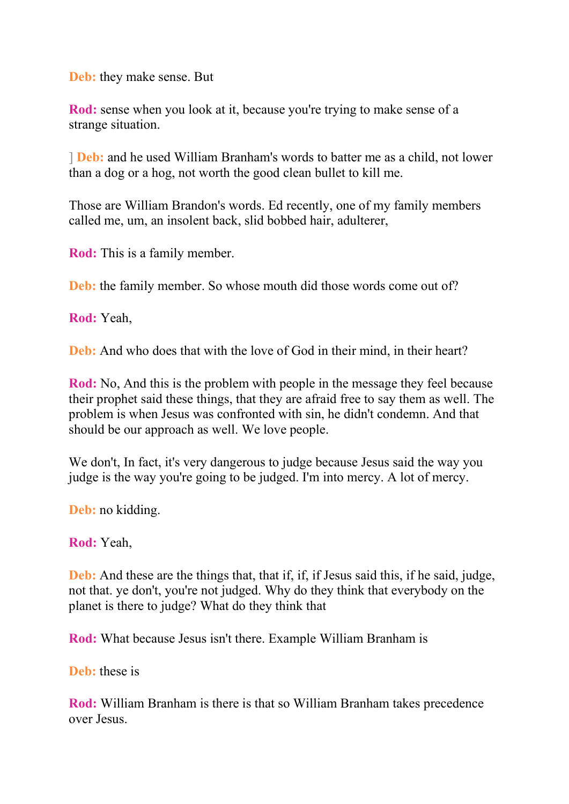**Deb:** they make sense. But

**Rod:** sense when you look at it, because you're trying to make sense of a strange situation.

] **Deb:** and he used William Branham's words to batter me as a child, not lower than a dog or a hog, not worth the good clean bullet to kill me.

Those are William Brandon's words. Ed recently, one of my family members called me, um, an insolent back, slid bobbed hair, adulterer,

**Rod:** This is a family member.

**Deb:** the family member. So whose mouth did those words come out of?

**Rod:** Yeah,

**Deb:** And who does that with the love of God in their mind, in their heart?

**Rod:** No, And this is the problem with people in the message they feel because their prophet said these things, that they are afraid free to say them as well. The problem is when Jesus was confronted with sin, he didn't condemn. And that should be our approach as well. We love people.

We don't, In fact, it's very dangerous to judge because Jesus said the way you judge is the way you're going to be judged. I'm into mercy. A lot of mercy.

**Deb:** no kidding.

**Rod:** Yeah,

**Deb:** And these are the things that, that if, if, if Jesus said this, if he said, judge, not that. ye don't, you're not judged. Why do they think that everybody on the planet is there to judge? What do they think that

**Rod:** What because Jesus isn't there. Example William Branham is

**Deb:** these is

**Rod:** William Branham is there is that so William Branham takes precedence over Jesus.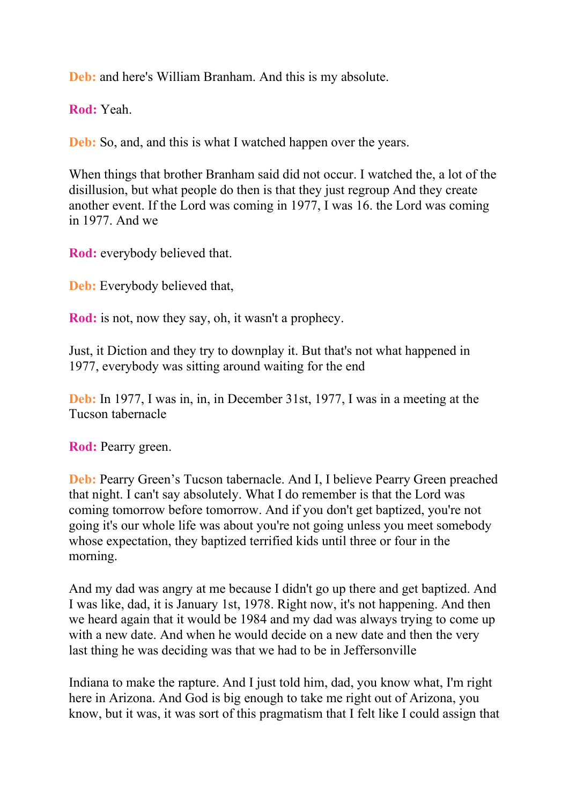**Deb:** and here's William Branham. And this is my absolute.

**Rod:** Yeah.

**Deb:** So, and, and this is what I watched happen over the years.

When things that brother Branham said did not occur. I watched the, a lot of the disillusion, but what people do then is that they just regroup And they create another event. If the Lord was coming in 1977, I was 16. the Lord was coming in 1977. And we

**Rod:** everybody believed that.

**Deb:** Everybody believed that,

**Rod:** is not, now they say, oh, it wasn't a prophecy.

Just, it Diction and they try to downplay it. But that's not what happened in 1977, everybody was sitting around waiting for the end

**Deb:** In 1977, I was in, in, in December 31st, 1977, I was in a meeting at the Tucson tabernacle

**Rod:** Pearry green.

**Deb:** Pearry Green's Tucson tabernacle. And I, I believe Pearry Green preached that night. I can't say absolutely. What I do remember is that the Lord was coming tomorrow before tomorrow. And if you don't get baptized, you're not going it's our whole life was about you're not going unless you meet somebody whose expectation, they baptized terrified kids until three or four in the morning.

And my dad was angry at me because I didn't go up there and get baptized. And I was like, dad, it is January 1st, 1978. Right now, it's not happening. And then we heard again that it would be 1984 and my dad was always trying to come up with a new date. And when he would decide on a new date and then the very last thing he was deciding was that we had to be in Jeffersonville

Indiana to make the rapture. And I just told him, dad, you know what, I'm right here in Arizona. And God is big enough to take me right out of Arizona, you know, but it was, it was sort of this pragmatism that I felt like I could assign that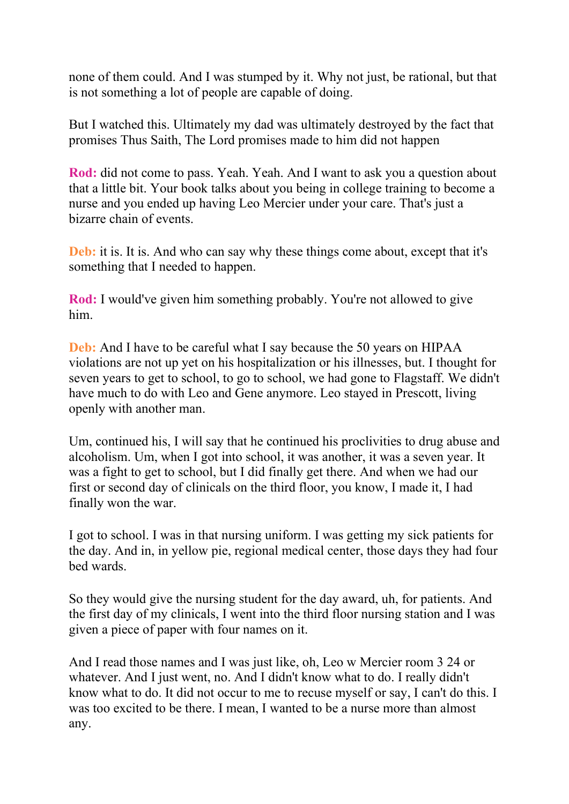none of them could. And I was stumped by it. Why not just, be rational, but that is not something a lot of people are capable of doing.

But I watched this. Ultimately my dad was ultimately destroyed by the fact that promises Thus Saith, The Lord promises made to him did not happen

**Rod:** did not come to pass. Yeah. Yeah. And I want to ask you a question about that a little bit. Your book talks about you being in college training to become a nurse and you ended up having Leo Mercier under your care. That's just a bizarre chain of events.

**Deb:** it is. It is. And who can say why these things come about, except that it's something that I needed to happen.

**Rod:** I would've given him something probably. You're not allowed to give him.

**Deb:** And I have to be careful what I say because the 50 years on HIPAA violations are not up yet on his hospitalization or his illnesses, but. I thought for seven years to get to school, to go to school, we had gone to Flagstaff. We didn't have much to do with Leo and Gene anymore. Leo stayed in Prescott, living openly with another man.

Um, continued his, I will say that he continued his proclivities to drug abuse and alcoholism. Um, when I got into school, it was another, it was a seven year. It was a fight to get to school, but I did finally get there. And when we had our first or second day of clinicals on the third floor, you know, I made it, I had finally won the war.

I got to school. I was in that nursing uniform. I was getting my sick patients for the day. And in, in yellow pie, regional medical center, those days they had four bed wards.

So they would give the nursing student for the day award, uh, for patients. And the first day of my clinicals, I went into the third floor nursing station and I was given a piece of paper with four names on it.

And I read those names and I was just like, oh, Leo w Mercier room 3 24 or whatever. And I just went, no. And I didn't know what to do. I really didn't know what to do. It did not occur to me to recuse myself or say, I can't do this. I was too excited to be there. I mean, I wanted to be a nurse more than almost any.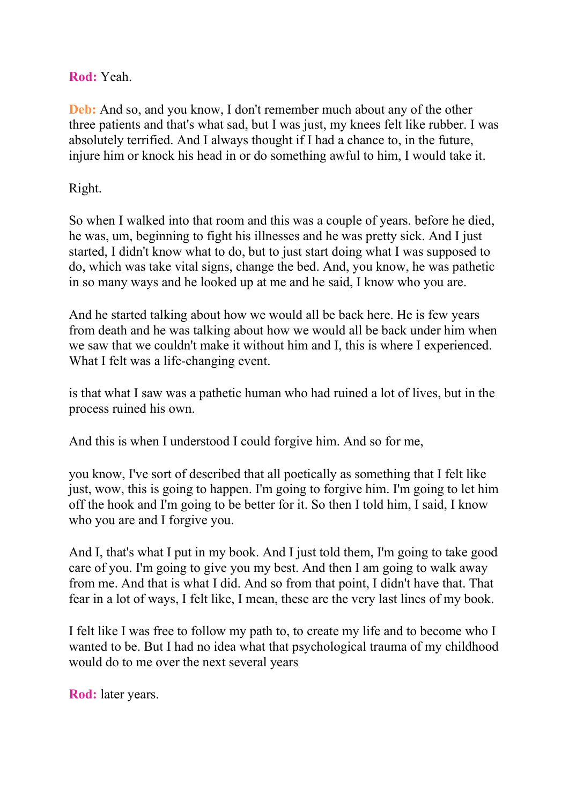## **Rod:** Yeah.

**Deb:** And so, and you know, I don't remember much about any of the other three patients and that's what sad, but I was just, my knees felt like rubber. I was absolutely terrified. And I always thought if I had a chance to, in the future, injure him or knock his head in or do something awful to him, I would take it.

## Right.

So when I walked into that room and this was a couple of years. before he died, he was, um, beginning to fight his illnesses and he was pretty sick. And I just started, I didn't know what to do, but to just start doing what I was supposed to do, which was take vital signs, change the bed. And, you know, he was pathetic in so many ways and he looked up at me and he said, I know who you are.

And he started talking about how we would all be back here. He is few years from death and he was talking about how we would all be back under him when we saw that we couldn't make it without him and I, this is where I experienced. What I felt was a life-changing event.

is that what I saw was a pathetic human who had ruined a lot of lives, but in the process ruined his own.

And this is when I understood I could forgive him. And so for me,

you know, I've sort of described that all poetically as something that I felt like just, wow, this is going to happen. I'm going to forgive him. I'm going to let him off the hook and I'm going to be better for it. So then I told him, I said, I know who you are and I forgive you.

And I, that's what I put in my book. And I just told them, I'm going to take good care of you. I'm going to give you my best. And then I am going to walk away from me. And that is what I did. And so from that point, I didn't have that. That fear in a lot of ways, I felt like, I mean, these are the very last lines of my book.

I felt like I was free to follow my path to, to create my life and to become who I wanted to be. But I had no idea what that psychological trauma of my childhood would do to me over the next several years

**Rod:** later years.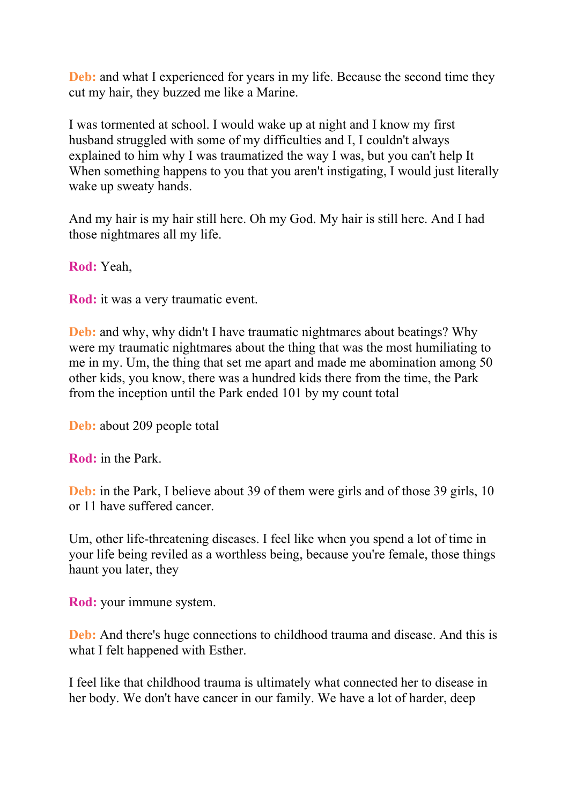**Deb:** and what I experienced for years in my life. Because the second time they cut my hair, they buzzed me like a Marine.

I was tormented at school. I would wake up at night and I know my first husband struggled with some of my difficulties and I, I couldn't always explained to him why I was traumatized the way I was, but you can't help It When something happens to you that you aren't instigating, I would just literally wake up sweaty hands.

And my hair is my hair still here. Oh my God. My hair is still here. And I had those nightmares all my life.

**Rod:** Yeah,

**Rod:** it was a very traumatic event.

**Deb:** and why, why didn't I have traumatic nightmares about beatings? Why were my traumatic nightmares about the thing that was the most humiliating to me in my. Um, the thing that set me apart and made me abomination among 50 other kids, you know, there was a hundred kids there from the time, the Park from the inception until the Park ended 101 by my count total

**Deb:** about 209 people total

**Rod:** in the Park.

**Deb:** in the Park, I believe about 39 of them were girls and of those 39 girls, 10 or 11 have suffered cancer.

Um, other life-threatening diseases. I feel like when you spend a lot of time in your life being reviled as a worthless being, because you're female, those things haunt you later, they

**Rod:** your immune system.

**Deb:** And there's huge connections to childhood trauma and disease. And this is what I felt happened with Esther.

I feel like that childhood trauma is ultimately what connected her to disease in her body. We don't have cancer in our family. We have a lot of harder, deep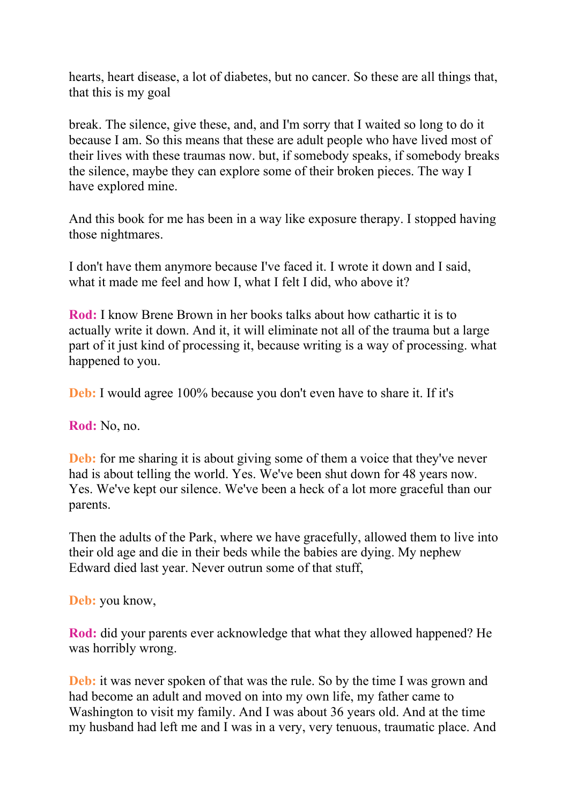hearts, heart disease, a lot of diabetes, but no cancer. So these are all things that, that this is my goal

break. The silence, give these, and, and I'm sorry that I waited so long to do it because I am. So this means that these are adult people who have lived most of their lives with these traumas now. but, if somebody speaks, if somebody breaks the silence, maybe they can explore some of their broken pieces. The way I have explored mine.

And this book for me has been in a way like exposure therapy. I stopped having those nightmares.

I don't have them anymore because I've faced it. I wrote it down and I said, what it made me feel and how I, what I felt I did, who above it?

**Rod:** I know Brene Brown in her books talks about how cathartic it is to actually write it down. And it, it will eliminate not all of the trauma but a large part of it just kind of processing it, because writing is a way of processing. what happened to you.

**Deb:** I would agree 100% because you don't even have to share it. If it's

**Rod:** No, no.

**Deb:** for me sharing it is about giving some of them a voice that they've never had is about telling the world. Yes. We've been shut down for 48 years now. Yes. We've kept our silence. We've been a heck of a lot more graceful than our parents.

Then the adults of the Park, where we have gracefully, allowed them to live into their old age and die in their beds while the babies are dying. My nephew Edward died last year. Never outrun some of that stuff,

**Deb:** you know,

**Rod:** did your parents ever acknowledge that what they allowed happened? He was horribly wrong.

**Deb:** it was never spoken of that was the rule. So by the time I was grown and had become an adult and moved on into my own life, my father came to Washington to visit my family. And I was about 36 years old. And at the time my husband had left me and I was in a very, very tenuous, traumatic place. And